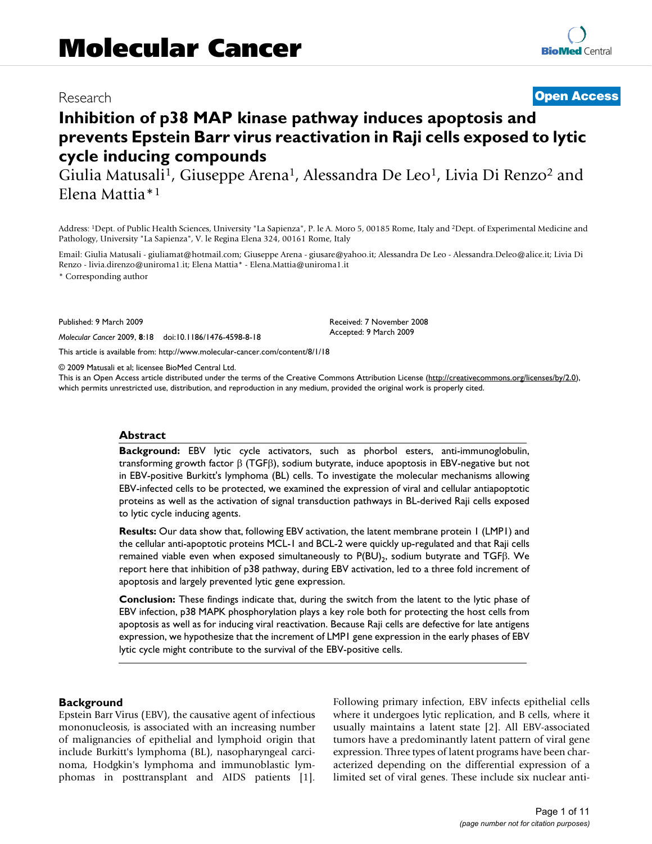## Research **[Open Access](http://www.biomedcentral.com/info/about/charter/)**

# **Inhibition of p38 MAP kinase pathway induces apoptosis and prevents Epstein Barr virus reactivation in Raji cells exposed to lytic cycle inducing compounds**

Giulia Matusali<sup>1</sup>, Giuseppe Arena<sup>1</sup>, Alessandra De Leo<sup>1</sup>, Livia Di Renzo<sup>2</sup> and Elena Mattia\*1

Address: 1Dept. of Public Health Sciences, University "La Sapienza", P. le A. Moro 5, 00185 Rome, Italy and 2Dept. of Experimental Medicine and Pathology, University "La Sapienza", V. le Regina Elena 324, 00161 Rome, Italy

Email: Giulia Matusali - giuliamat@hotmail.com; Giuseppe Arena - giusare@yahoo.it; Alessandra De Leo - Alessandra.Deleo@alice.it; Livia Di Renzo - livia.direnzo@uniroma1.it; Elena Mattia\* - Elena.Mattia@uniroma1.it

> Received: 7 November 2008 Accepted: 9 March 2009

\* Corresponding author

Published: 9 March 2009

*Molecular Cancer* 2009, **8**:18 doi:10.1186/1476-4598-8-18

[This article is available from: http://www.molecular-cancer.com/content/8/1/18](http://www.molecular-cancer.com/content/8/1/18)

© 2009 Matusali et al; licensee BioMed Central Ltd.

This is an Open Access article distributed under the terms of the Creative Commons Attribution License [\(http://creativecommons.org/licenses/by/2.0\)](http://creativecommons.org/licenses/by/2.0), which permits unrestricted use, distribution, and reproduction in any medium, provided the original work is properly cited.

### **Abstract**

**Background:** EBV lytic cycle activators, such as phorbol esters, anti-immunoglobulin, transforming growth factor β (TGFβ), sodium butyrate, induce apoptosis in EBV-negative but not in EBV-positive Burkitt's lymphoma (BL) cells. To investigate the molecular mechanisms allowing EBV-infected cells to be protected, we examined the expression of viral and cellular antiapoptotic proteins as well as the activation of signal transduction pathways in BL-derived Raji cells exposed to lytic cycle inducing agents.

**Results:** Our data show that, following EBV activation, the latent membrane protein 1 (LMP1) and the cellular anti-apoptotic proteins MCL-1 and BCL-2 were quickly up-regulated and that Raji cells remained viable even when exposed simultaneously to  $P(BU)_2$ , sodium butyrate and TGF $\beta$ . We report here that inhibition of p38 pathway, during EBV activation, led to a three fold increment of apoptosis and largely prevented lytic gene expression.

**Conclusion:** These findings indicate that, during the switch from the latent to the lytic phase of EBV infection, p38 MAPK phosphorylation plays a key role both for protecting the host cells from apoptosis as well as for inducing viral reactivation. Because Raji cells are defective for late antigens expression, we hypothesize that the increment of LMP1 gene expression in the early phases of EBV lytic cycle might contribute to the survival of the EBV-positive cells.

### **Background**

Epstein Barr Virus (EBV), the causative agent of infectious mononucleosis, is associated with an increasing number of malignancies of epithelial and lymphoid origin that include Burkitt's lymphoma (BL), nasopharyngeal carcinoma, Hodgkin's lymphoma and immunoblastic lymphomas in posttransplant and AIDS patients [1]. Following primary infection, EBV infects epithelial cells where it undergoes lytic replication, and B cells, where it usually maintains a latent state [2]. All EBV-associated tumors have a predominantly latent pattern of viral gene expression. Three types of latent programs have been characterized depending on the differential expression of a limited set of viral genes. These include six nuclear anti-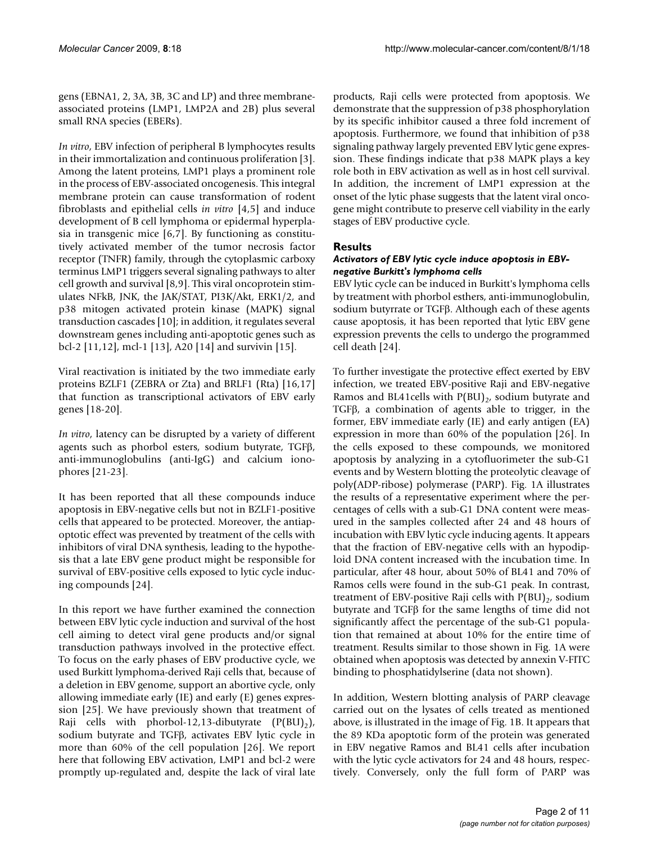gens (EBNA1, 2, 3A, 3B, 3C and LP) and three membraneassociated proteins (LMP1, LMP2A and 2B) plus several small RNA species (EBERs).

*In vitro*, EBV infection of peripheral B lymphocytes results in their immortalization and continuous proliferation [3]. Among the latent proteins, LMP1 plays a prominent role in the process of EBV-associated oncogenesis. This integral membrane protein can cause transformation of rodent fibroblasts and epithelial cells *in vitro* [4,5] and induce development of B cell lymphoma or epidermal hyperplasia in transgenic mice [6,7]. By functioning as constitutively activated member of the tumor necrosis factor receptor (TNFR) family, through the cytoplasmic carboxy terminus LMP1 triggers several signaling pathways to alter cell growth and survival [8,9]. This viral oncoprotein stimulates NFkB, JNK, the JAK/STAT, PI3K/Akt, ERK1/2, and p38 mitogen activated protein kinase (MAPK) signal transduction cascades [10]; in addition, it regulates several downstream genes including anti-apoptotic genes such as bcl-2 [11,12], mcl-1 [13], A20 [14] and survivin [15].

Viral reactivation is initiated by the two immediate early proteins BZLF1 (ZEBRA or Zta) and BRLF1 (Rta) [16,17] that function as transcriptional activators of EBV early genes [18-20].

*In vitro*, latency can be disrupted by a variety of different agents such as phorbol esters, sodium butyrate, TGFβ, anti-immunoglobulins (anti-IgG) and calcium ionophores [21-23].

It has been reported that all these compounds induce apoptosis in EBV-negative cells but not in BZLF1-positive cells that appeared to be protected. Moreover, the antiapoptotic effect was prevented by treatment of the cells with inhibitors of viral DNA synthesis, leading to the hypothesis that a late EBV gene product might be responsible for survival of EBV-positive cells exposed to lytic cycle inducing compounds [24].

In this report we have further examined the connection between EBV lytic cycle induction and survival of the host cell aiming to detect viral gene products and/or signal transduction pathways involved in the protective effect. To focus on the early phases of EBV productive cycle, we used Burkitt lymphoma-derived Raji cells that, because of a deletion in EBV genome, support an abortive cycle, only allowing immediate early (IE) and early (E) genes expression [25]. We have previously shown that treatment of Raji cells with phorbol-12,13-dibutyrate  $(P(BU_2))$ , sodium butyrate and TGFβ, activates EBV lytic cycle in more than 60% of the cell population [26]. We report here that following EBV activation, LMP1 and bcl-2 were promptly up-regulated and, despite the lack of viral late

products, Raji cells were protected from apoptosis. We demonstrate that the suppression of p38 phosphorylation by its specific inhibitor caused a three fold increment of apoptosis. Furthermore, we found that inhibition of p38 signaling pathway largely prevented EBV lytic gene expression. These findings indicate that p38 MAPK plays a key role both in EBV activation as well as in host cell survival. In addition, the increment of LMP1 expression at the onset of the lytic phase suggests that the latent viral oncogene might contribute to preserve cell viability in the early stages of EBV productive cycle.

## **Results**

## *Activators of EBV lytic cycle induce apoptosis in EBVnegative Burkitt's lymphoma cells*

EBV lytic cycle can be induced in Burkitt's lymphoma cells by treatment with phorbol esthers, anti-immunoglobulin, sodium butyrrate or TGFβ. Although each of these agents cause apoptosis, it has been reported that lytic EBV gene expression prevents the cells to undergo the programmed cell death [24].

To further investigate the protective effect exerted by EBV infection, we treated EBV-positive Raji and EBV-negative Ramos and BL41cells with  $P(BU)_{2}$ , sodium butyrate and TGFβ, a combination of agents able to trigger, in the former, EBV immediate early (IE) and early antigen (EA) expression in more than 60% of the population [26]. In the cells exposed to these compounds, we monitored apoptosis by analyzing in a cytofluorimeter the sub-G1 events and by Western blotting the proteolytic cleavage of poly(ADP-ribose) polymerase (PARP). Fig. 1A illustrates the results of a representative experiment where the percentages of cells with a sub-G1 DNA content were measured in the samples collected after 24 and 48 hours of incubation with EBV lytic cycle inducing agents. It appears that the fraction of EBV-negative cells with an hypodiploid DNA content increased with the incubation time. In particular, after 48 hour, about 50% of BL41 and 70% of Ramos cells were found in the sub-G1 peak. In contrast, treatment of EBV-positive Raji cells with  $P(BU)_{2}$ , sodium butyrate and TGFβ for the same lengths of time did not significantly affect the percentage of the sub-G1 population that remained at about 10% for the entire time of treatment. Results similar to those shown in Fig. 1A were obtained when apoptosis was detected by annexin V-FITC binding to phosphatidylserine (data not shown).

In addition, Western blotting analysis of PARP cleavage carried out on the lysates of cells treated as mentioned above, is illustrated in the image of Fig. 1B. It appears that the 89 KDa apoptotic form of the protein was generated in EBV negative Ramos and BL41 cells after incubation with the lytic cycle activators for 24 and 48 hours, respectively. Conversely, only the full form of PARP was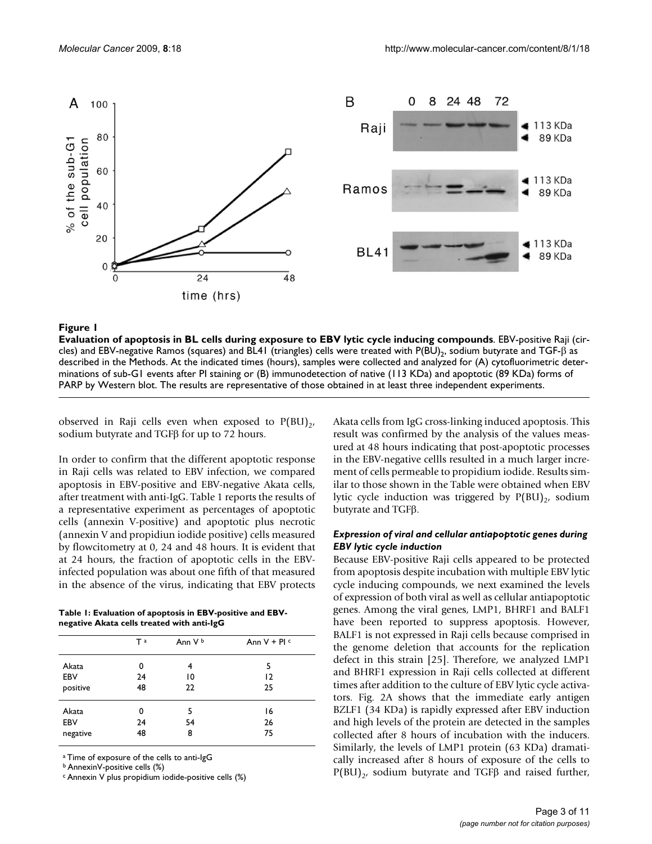

#### **Figure 1** Evaluation of apoptosis in BL cells during exposure to EBV lytic cycle induction of a compounds compo

**Evaluation of apoptosis in BL cells during exposure to EBV lytic cycle inducing compounds**. EBV-positive Raji (circles) and EBV-negative Ramos (squares) and BL41 (triangles) cells were treated with P(BU)<sub>2</sub>, sodium butyrate and TGF-β as described in the Methods. At the indicated times (hours), samples were collected and analyzed for (A) cytofluorimetric determinations of sub-G1 events after PI staining or (B) immunodetection of native (113 KDa) and apoptotic (89 KDa) forms of PARP by Western blot. The results are representative of those obtained in at least three independent experiments.

observed in Raji cells even when exposed to  $P(BU)_{2}$ , sodium butyrate and TGFβ for up to 72 hours.

In order to confirm that the different apoptotic response in Raji cells was related to EBV infection, we compared apoptosis in EBV-positive and EBV-negative Akata cells, after treatment with anti-IgG. Table 1 reports the results of a representative experiment as percentages of apoptotic cells (annexin V-positive) and apoptotic plus necrotic (annexin V and propidiun iodide positive) cells measured by flowcitometry at 0, 24 and 48 hours. It is evident that at 24 hours, the fraction of apoptotic cells in the EBVinfected population was about one fifth of that measured in the absence of the virus, indicating that EBV protects

| Table 1: Evaluation of apoptosis in EBV-positive and EBV- |  |
|-----------------------------------------------------------|--|
| negative Akata cells treated with anti-IgG                |  |

| - 0<br>. . |                |         |              |  |
|------------|----------------|---------|--------------|--|
|            | T <sup>a</sup> | Ann V b | Ann $V + PI$ |  |
| Akata      | 0              | 4       | 5            |  |
| EBV        | 24             | 10      | 12           |  |
| positive   | 48             | 22      | 25           |  |
| Akata      | 0              | 5       | 16           |  |
| EBV        | 24             | 54      | 26           |  |
| negative   | 48             | 8       | 75           |  |
|            |                |         |              |  |

a Time of exposure of the cells to anti-IgG

b AnnexinV-positive cells (%)

c Annexin V plus propidium iodide-positive cells (%)

Akata cells from IgG cross-linking induced apoptosis. This result was confirmed by the analysis of the values measured at 48 hours indicating that post-apoptotic processes in the EBV-negative cellls resulted in a much larger increment of cells permeable to propidium iodide. Results similar to those shown in the Table were obtained when EBV lytic cycle induction was triggered by  $P(BU)_{2}$ , sodium butyrate and TGFβ.

### *Expression of viral and cellular antiapoptotic genes during EBV lytic cycle induction*

Because EBV-positive Raji cells appeared to be protected from apoptosis despite incubation with multiple EBV lytic cycle inducing compounds, we next examined the levels of expression of both viral as well as cellular antiapoptotic genes. Among the viral genes, LMP1, BHRF1 and BALF1 have been reported to suppress apoptosis. However, BALF1 is not expressed in Raji cells because comprised in the genome deletion that accounts for the replication defect in this strain [25]. Therefore, we analyzed LMP1 and BHRF1 expression in Raji cells collected at different times after addition to the culture of EBV lytic cycle activators. Fig. 2A shows that the immediate early antigen BZLF1 (34 KDa) is rapidly expressed after EBV induction and high levels of the protein are detected in the samples collected after 8 hours of incubation with the inducers. Similarly, the levels of LMP1 protein (63 KDa) dramatically increased after 8 hours of exposure of the cells to  $P(BU)_{2}$ , sodium butyrate and TGFβ and raised further,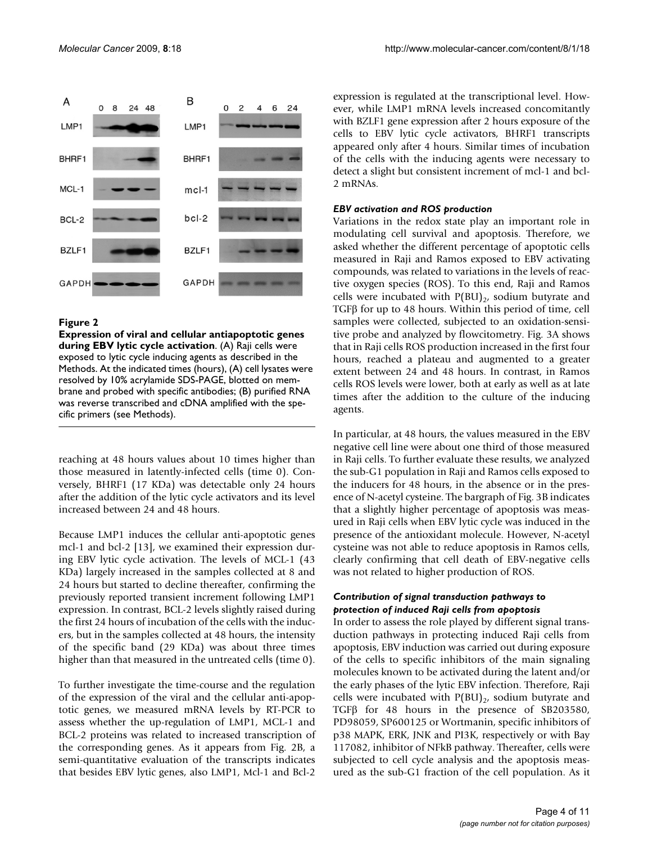

## **Figure 2**

**Expression of viral and cellular antiapoptotic genes during EBV lytic cycle activation**. (A) Raji cells were exposed to lytic cycle inducing agents as described in the Methods. At the indicated times (hours), (A) cell lysates were resolved by 10% acrylamide SDS-PAGE, blotted on membrane and probed with specific antibodies; (B) purified RNA was reverse transcribed and cDNA amplified with the specific primers (see Methods).

reaching at 48 hours values about 10 times higher than those measured in latently-infected cells (time 0). Conversely, BHRF1 (17 KDa) was detectable only 24 hours after the addition of the lytic cycle activators and its level increased between 24 and 48 hours.

Because LMP1 induces the cellular anti-apoptotic genes mcl-1 and bcl-2 [13], we examined their expression during EBV lytic cycle activation. The levels of MCL-1 (43 KDa) largely increased in the samples collected at 8 and 24 hours but started to decline thereafter, confirming the previously reported transient increment following LMP1 expression. In contrast, BCL-2 levels slightly raised during the first 24 hours of incubation of the cells with the inducers, but in the samples collected at 48 hours, the intensity of the specific band (29 KDa) was about three times higher than that measured in the untreated cells (time 0).

To further investigate the time-course and the regulation of the expression of the viral and the cellular anti-apoptotic genes, we measured mRNA levels by RT-PCR to assess whether the up-regulation of LMP1, MCL-1 and BCL-2 proteins was related to increased transcription of the corresponding genes. As it appears from Fig. 2B, a semi-quantitative evaluation of the transcripts indicates that besides EBV lytic genes, also LMP1, Mcl-1 and Bcl-2

expression is regulated at the transcriptional level. However, while LMP1 mRNA levels increased concomitantly with BZLF1 gene expression after 2 hours exposure of the cells to EBV lytic cycle activators, BHRF1 transcripts appeared only after 4 hours. Similar times of incubation of the cells with the inducing agents were necessary to detect a slight but consistent increment of mcl-1 and bcl-2 mRNAs.

## *EBV activation and ROS production*

Variations in the redox state play an important role in modulating cell survival and apoptosis. Therefore, we asked whether the different percentage of apoptotic cells measured in Raji and Ramos exposed to EBV activating compounds, was related to variations in the levels of reactive oxygen species (ROS). To this end, Raji and Ramos cells were incubated with  $P(BU)_{2}$ , sodium butyrate and TGFβ for up to 48 hours. Within this period of time, cell samples were collected, subjected to an oxidation-sensitive probe and analyzed by flowcitometry. Fig. 3A shows that in Raji cells ROS production increased in the first four hours, reached a plateau and augmented to a greater extent between 24 and 48 hours. In contrast, in Ramos cells ROS levels were lower, both at early as well as at late times after the addition to the culture of the inducing agents.

In particular, at 48 hours, the values measured in the EBV negative cell line were about one third of those measured in Raji cells. To further evaluate these results, we analyzed the sub-G1 population in Raji and Ramos cells exposed to the inducers for 48 hours, in the absence or in the presence of N-acetyl cysteine. The bargraph of Fig. 3B indicates that a slightly higher percentage of apoptosis was measured in Raji cells when EBV lytic cycle was induced in the presence of the antioxidant molecule. However, N-acetyl cysteine was not able to reduce apoptosis in Ramos cells, clearly confirming that cell death of EBV-negative cells was not related to higher production of ROS.

## *Contribution of signal transduction pathways to protection of induced Raji cells from apoptosis*

In order to assess the role played by different signal transduction pathways in protecting induced Raji cells from apoptosis, EBV induction was carried out during exposure of the cells to specific inhibitors of the main signaling molecules known to be activated during the latent and/or the early phases of the lytic EBV infection. Therefore, Raji cells were incubated with  $P(BU)_{2}$ , sodium butyrate and TGFβ for 48 hours in the presence of SB203580, PD98059, SP600125 or Wortmanin, specific inhibitors of p38 MAPK, ERK, JNK and PI3K, respectively or with Bay 117082, inhibitor of NFkB pathway. Thereafter, cells were subjected to cell cycle analysis and the apoptosis measured as the sub-G1 fraction of the cell population. As it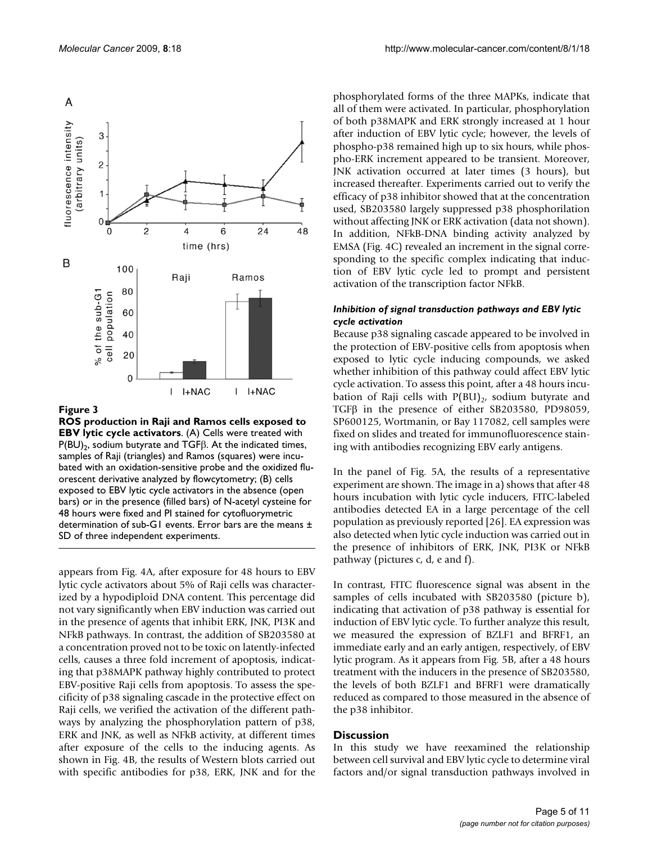

#### Figure 3

**ROS production in Raji and Ramos cells exposed to EBV lytic cycle activators**. (A) Cells were treated with P(BU)<sub>2</sub>, sodium butyrate and TGF $β$ . At the indicated times, samples of Raji (triangles) and Ramos (squares) were incubated with an oxidation-sensitive probe and the oxidized fluorescent derivative analyzed by flowcytometry; (B) cells exposed to EBV lytic cycle activators in the absence (open bars) or in the presence (filled bars) of N-acetyl cysteine for 48 hours were fixed and PI stained for cytofluorymetric determination of sub-G1 events. Error bars are the means ± SD of three independent experiments.

appears from Fig. 4A, after exposure for 48 hours to EBV lytic cycle activators about 5% of Raji cells was characterized by a hypodiploid DNA content. This percentage did not vary significantly when EBV induction was carried out in the presence of agents that inhibit ERK, JNK, PI3K and NFkB pathways. In contrast, the addition of SB203580 at a concentration proved not to be toxic on latently-infected cells, causes a three fold increment of apoptosis, indicating that p38MAPK pathway highly contributed to protect EBV-positive Raji cells from apoptosis. To assess the specificity of p38 signaling cascade in the protective effect on Raji cells, we verified the activation of the different pathways by analyzing the phosphorylation pattern of p38, ERK and JNK, as well as NFkB activity, at different times after exposure of the cells to the inducing agents. As shown in Fig. 4B, the results of Western blots carried out with specific antibodies for p38, ERK, JNK and for the phosphorylated forms of the three MAPKs, indicate that all of them were activated. In particular, phosphorylation of both p38MAPK and ERK strongly increased at 1 hour after induction of EBV lytic cycle; however, the levels of phospho-p38 remained high up to six hours, while phospho-ERK increment appeared to be transient. Moreover, JNK activation occurred at later times (3 hours), but increased thereafter. Experiments carried out to verify the efficacy of p38 inhibitor showed that at the concentration used, SB203580 largely suppressed p38 phosphorilation without affecting JNK or ERK activation (data not shown). In addition, NFkB-DNA binding activity analyzed by EMSA (Fig. 4C) revealed an increment in the signal corresponding to the specific complex indicating that induction of EBV lytic cycle led to prompt and persistent activation of the transcription factor NFkB.

### *Inhibition of signal transduction pathways and EBV lytic cycle activation*

Because p38 signaling cascade appeared to be involved in the protection of EBV-positive cells from apoptosis when exposed to lytic cycle inducing compounds, we asked whether inhibition of this pathway could affect EBV lytic cycle activation. To assess this point, after a 48 hours incubation of Raji cells with  $P(BU)_{2}$ , sodium butyrate and TGFβ in the presence of either SB203580, PD98059, SP600125, Wortmanin, or Bay 117082, cell samples were fixed on slides and treated for immunofluorescence staining with antibodies recognizing EBV early antigens.

In the panel of Fig. 5A, the results of a representative experiment are shown. The image in a) shows that after 48 hours incubation with lytic cycle inducers, FITC-labeled antibodies detected EA in a large percentage of the cell population as previously reported [26]. EA expression was also detected when lytic cycle induction was carried out in the presence of inhibitors of ERK, JNK, PI3K or NFkB pathway (pictures c, d, e and f).

In contrast, FITC fluorescence signal was absent in the samples of cells incubated with SB203580 (picture b), indicating that activation of p38 pathway is essential for induction of EBV lytic cycle. To further analyze this result, we measured the expression of BZLF1 and BFRF1, an immediate early and an early antigen, respectively, of EBV lytic program. As it appears from Fig. 5B, after a 48 hours treatment with the inducers in the presence of SB203580, the levels of both BZLF1 and BFRF1 were dramatically reduced as compared to those measured in the absence of the p38 inhibitor.

#### **Discussion**

In this study we have reexamined the relationship between cell survival and EBV lytic cycle to determine viral factors and/or signal transduction pathways involved in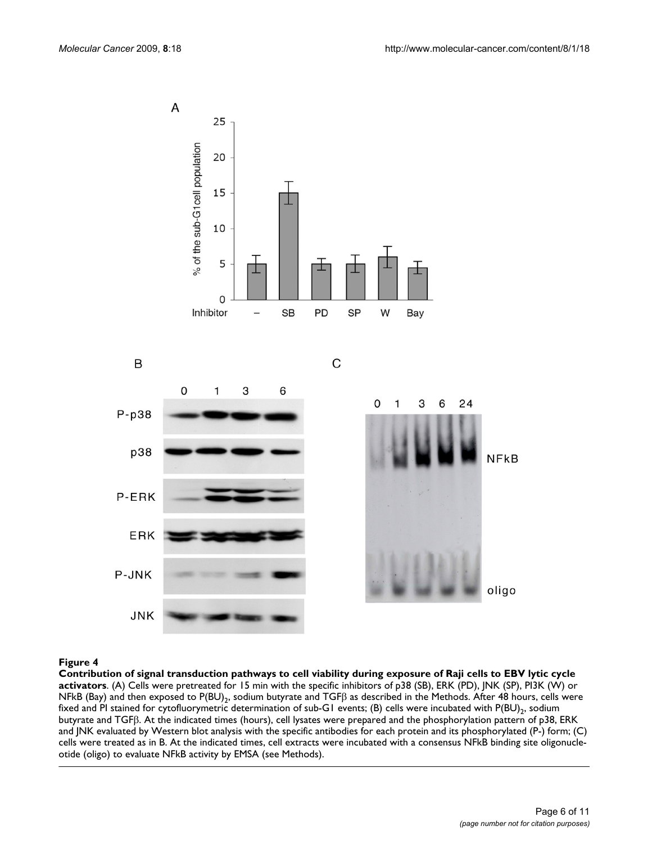

### Contribution of signal transduction pathwa **Figure 4** ys to cell viability during exposure of Raji cells to EBV lytic cycle activators

**Contribution of signal transduction pathways to cell viability during exposure of Raji cells to EBV lytic cycle activators**. (A) Cells were pretreated for 15 min with the specific inhibitors of p38 (SB), ERK (PD), JNK (SP), PI3K (W) or NFkB (Bay) and then exposed to P(BU)<sub>2</sub>, sodium butyrate and TGF $\beta$  as described in the Methods. After 48 hours, cells were fixed and PI stained for cytofluorymetric determination of sub-G1 events; (B) cells were incubated with  $P(BU)_2$ , sodium butyrate and TGFβ. At the indicated times (hours), cell lysates were prepared and the phosphorylation pattern of p38, ERK and JNK evaluated by Western blot analysis with the specific antibodies for each protein and its phosphorylated (P-) form; (C) cells were treated as in B. At the indicated times, cell extracts were incubated with a consensus NFkB binding site oligonucleotide (oligo) to evaluate NFkB activity by EMSA (see Methods).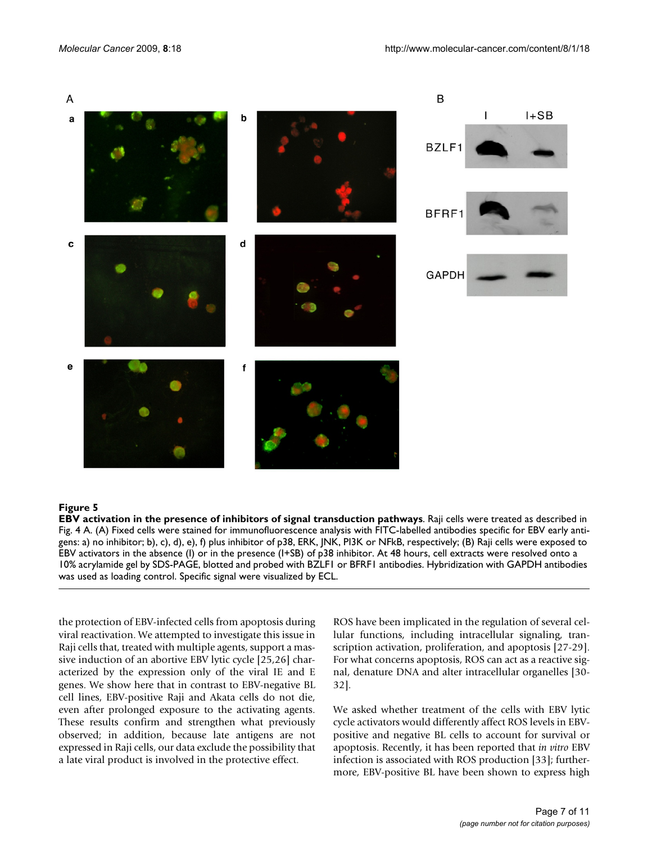

#### Figure 5

**EBV activation in the presence of inhibitors of signal transduction pathways**. Raji cells were treated as described in Fig. 4 A. (A) Fixed cells were stained for immunofluorescence analysis with FITC-labelled antibodies specific for EBV early antigens: a) no inhibitor; b), c), d), e), f) plus inhibitor of p38, ERK, JNK, PI3K or NFkB, respectively; (B) Raji cells were exposed to EBV activators in the absence (I) or in the presence (I+SB) of p38 inhibitor. At 48 hours, cell extracts were resolved onto a 10% acrylamide gel by SDS-PAGE, blotted and probed with BZLF1 or BFRF1 antibodies. Hybridization with GAPDH antibodies was used as loading control. Specific signal were visualized by ECL.

the protection of EBV-infected cells from apoptosis during viral reactivation. We attempted to investigate this issue in Raji cells that, treated with multiple agents, support a massive induction of an abortive EBV lytic cycle [25,26] characterized by the expression only of the viral IE and E genes. We show here that in contrast to EBV-negative BL cell lines, EBV-positive Raji and Akata cells do not die, even after prolonged exposure to the activating agents. These results confirm and strengthen what previously observed; in addition, because late antigens are not expressed in Raji cells, our data exclude the possibility that a late viral product is involved in the protective effect.

ROS have been implicated in the regulation of several cellular functions, including intracellular signaling, transcription activation, proliferation, and apoptosis [27-29]. For what concerns apoptosis, ROS can act as a reactive signal, denature DNA and alter intracellular organelles [30- 32].

We asked whether treatment of the cells with EBV lytic cycle activators would differently affect ROS levels in EBVpositive and negative BL cells to account for survival or apoptosis. Recently, it has been reported that *in vitro* EBV infection is associated with ROS production [33]; furthermore, EBV-positive BL have been shown to express high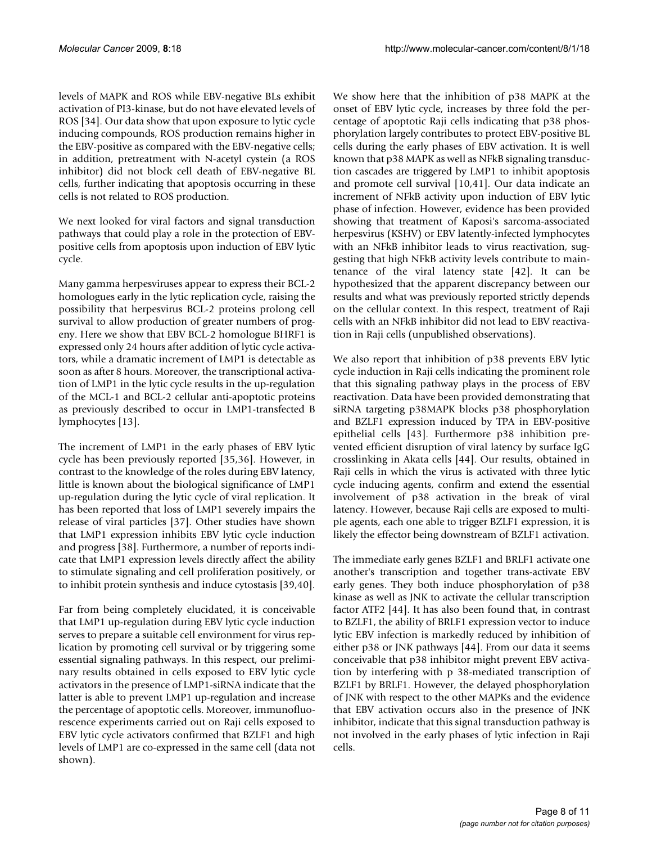levels of MAPK and ROS while EBV-negative BLs exhibit activation of PI3-kinase, but do not have elevated levels of ROS [34]. Our data show that upon exposure to lytic cycle inducing compounds, ROS production remains higher in the EBV-positive as compared with the EBV-negative cells; in addition, pretreatment with N-acetyl cystein (a ROS inhibitor) did not block cell death of EBV-negative BL cells, further indicating that apoptosis occurring in these cells is not related to ROS production.

We next looked for viral factors and signal transduction pathways that could play a role in the protection of EBVpositive cells from apoptosis upon induction of EBV lytic cycle.

Many gamma herpesviruses appear to express their BCL-2 homologues early in the lytic replication cycle, raising the possibility that herpesvirus BCL-2 proteins prolong cell survival to allow production of greater numbers of progeny. Here we show that EBV BCL-2 homologue BHRF1 is expressed only 24 hours after addition of lytic cycle activators, while a dramatic increment of LMP1 is detectable as soon as after 8 hours. Moreover, the transcriptional activation of LMP1 in the lytic cycle results in the up-regulation of the MCL-1 and BCL-2 cellular anti-apoptotic proteins as previously described to occur in LMP1-transfected B lymphocytes [13].

The increment of LMP1 in the early phases of EBV lytic cycle has been previously reported [35,36]. However, in contrast to the knowledge of the roles during EBV latency, little is known about the biological significance of LMP1 up-regulation during the lytic cycle of viral replication. It has been reported that loss of LMP1 severely impairs the release of viral particles [37]. Other studies have shown that LMP1 expression inhibits EBV lytic cycle induction and progress [38]. Furthermore, a number of reports indicate that LMP1 expression levels directly affect the ability to stimulate signaling and cell proliferation positively, or to inhibit protein synthesis and induce cytostasis [39,40].

Far from being completely elucidated, it is conceivable that LMP1 up-regulation during EBV lytic cycle induction serves to prepare a suitable cell environment for virus replication by promoting cell survival or by triggering some essential signaling pathways. In this respect, our preliminary results obtained in cells exposed to EBV lytic cycle activators in the presence of LMP1-siRNA indicate that the latter is able to prevent LMP1 up-regulation and increase the percentage of apoptotic cells. Moreover, immunofluorescence experiments carried out on Raji cells exposed to EBV lytic cycle activators confirmed that BZLF1 and high levels of LMP1 are co-expressed in the same cell (data not shown).

We show here that the inhibition of p38 MAPK at the onset of EBV lytic cycle, increases by three fold the percentage of apoptotic Raji cells indicating that p38 phosphorylation largely contributes to protect EBV-positive BL cells during the early phases of EBV activation. It is well known that p38 MAPK as well as NFkB signaling transduction cascades are triggered by LMP1 to inhibit apoptosis and promote cell survival [10,41]. Our data indicate an increment of NFkB activity upon induction of EBV lytic phase of infection. However, evidence has been provided showing that treatment of Kaposi's sarcoma-associated herpesvirus (KSHV) or EBV latently-infected lymphocytes with an NFkB inhibitor leads to virus reactivation, suggesting that high NFkB activity levels contribute to maintenance of the viral latency state [42]. It can be hypothesized that the apparent discrepancy between our results and what was previously reported strictly depends on the cellular context. In this respect, treatment of Raji cells with an NFkB inhibitor did not lead to EBV reactivation in Raji cells (unpublished observations).

We also report that inhibition of p38 prevents EBV lytic cycle induction in Raji cells indicating the prominent role that this signaling pathway plays in the process of EBV reactivation. Data have been provided demonstrating that siRNA targeting p38MAPK blocks p38 phosphorylation and BZLF1 expression induced by TPA in EBV-positive epithelial cells [43]. Furthermore p38 inhibition prevented efficient disruption of viral latency by surface IgG crosslinking in Akata cells [44]. Our results, obtained in Raji cells in which the virus is activated with three lytic cycle inducing agents, confirm and extend the essential involvement of p38 activation in the break of viral latency. However, because Raji cells are exposed to multiple agents, each one able to trigger BZLF1 expression, it is likely the effector being downstream of BZLF1 activation.

The immediate early genes BZLF1 and BRLF1 activate one another's transcription and together trans-activate EBV early genes. They both induce phosphorylation of p38 kinase as well as JNK to activate the cellular transcription factor ATF2 [44]. It has also been found that, in contrast to BZLF1, the ability of BRLF1 expression vector to induce lytic EBV infection is markedly reduced by inhibition of either p38 or JNK pathways [44]. From our data it seems conceivable that p38 inhibitor might prevent EBV activation by interfering with p 38-mediated transcription of BZLF1 by BRLF1. However, the delayed phosphorylation of JNK with respect to the other MAPKs and the evidence that EBV activation occurs also in the presence of JNK inhibitor, indicate that this signal transduction pathway is not involved in the early phases of lytic infection in Raji cells.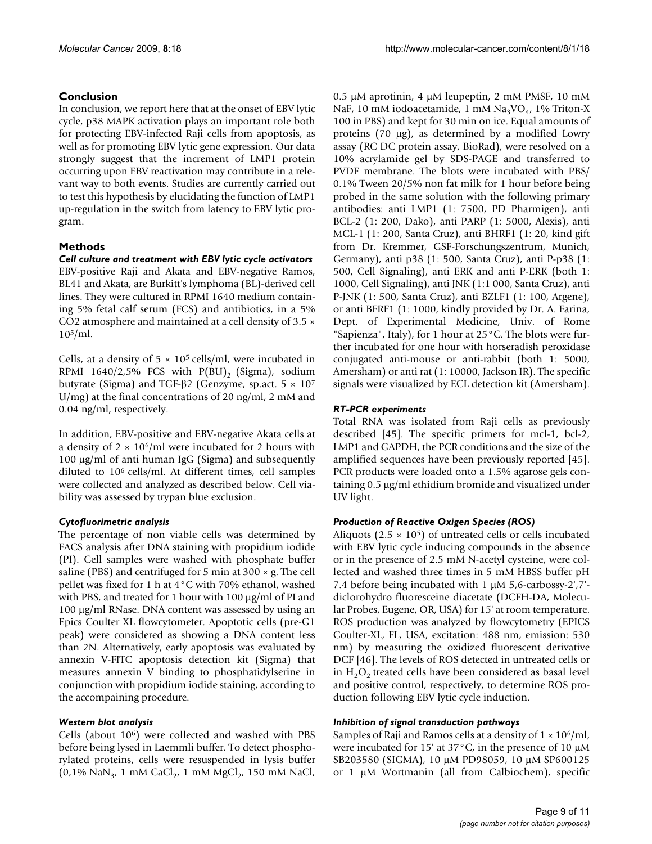## **Conclusion**

In conclusion, we report here that at the onset of EBV lytic cycle, p38 MAPK activation plays an important role both for protecting EBV-infected Raji cells from apoptosis, as well as for promoting EBV lytic gene expression. Our data strongly suggest that the increment of LMP1 protein occurring upon EBV reactivation may contribute in a relevant way to both events. Studies are currently carried out to test this hypothesis by elucidating the function of LMP1 up-regulation in the switch from latency to EBV lytic program.

## **Methods**

## *Cell culture and treatment with EBV lytic cycle activators* EBV-positive Raji and Akata and EBV-negative Ramos, BL41 and Akata, are Burkitt's lymphoma (BL)-derived cell lines. They were cultured in RPMI 1640 medium containing 5% fetal calf serum (FCS) and antibiotics, in a 5% CO2 atmosphere and maintained at a cell density of 3.5 × 105/ml.

Cells, at a density of  $5 \times 10^5$  cells/ml, were incubated in RPMI 1640/2,5% FCS with  $P(BU)$ <sub>2</sub> (Sigma), sodium butyrate (Sigma) and TGF-β2 (Genzyme, sp.act.  $5 \times 10^7$ U/mg) at the final concentrations of 20 ng/ml, 2 mM and 0.04 ng/ml, respectively.

In addition, EBV-positive and EBV-negative Akata cells at a density of  $2 \times 10^6$ /ml were incubated for 2 hours with 100 μg/ml of anti human IgG (Sigma) and subsequently diluted to 106 cells/ml. At different times, cell samples were collected and analyzed as described below. Cell viability was assessed by trypan blue exclusion.

## *Cytofluorimetric analysis*

The percentage of non viable cells was determined by FACS analysis after DNA staining with propidium iodide (PI). Cell samples were washed with phosphate buffer saline (PBS) and centrifuged for 5 min at  $300 \times g$ . The cell pellet was fixed for 1 h at 4°C with 70% ethanol, washed with PBS, and treated for 1 hour with 100 μg/ml of PI and 100 μg/ml RNase. DNA content was assessed by using an Epics Coulter XL flowcytometer. Apoptotic cells (pre-G1 peak) were considered as showing a DNA content less than 2N. Alternatively, early apoptosis was evaluated by annexin V-FITC apoptosis detection kit (Sigma) that measures annexin V binding to phosphatidylserine in conjunction with propidium iodide staining, according to the accompaining procedure.

## *Western blot analysis*

Cells (about 106) were collected and washed with PBS before being lysed in Laemmli buffer. To detect phosphorylated proteins, cells were resuspended in lysis buffer  $(0.1\% \text{ NaN}_3, 1 \text{ mM } \text{CaCl}_2, 1 \text{ mM } \text{MgCl}_2, 150 \text{ mM } \text{NaCl},$ 

0.5 μM aprotinin, 4 μM leupeptin, 2 mM PMSF, 10 mM NaF, 10 mM iodoacetamide, 1 mM  $Na<sub>3</sub>VO<sub>4</sub>$ , 1% Triton-X 100 in PBS) and kept for 30 min on ice. Equal amounts of proteins (70 μg), as determined by a modified Lowry assay (RC DC protein assay, BioRad), were resolved on a 10% acrylamide gel by SDS-PAGE and transferred to PVDF membrane. The blots were incubated with PBS/ 0.1% Tween 20/5% non fat milk for 1 hour before being probed in the same solution with the following primary antibodies: anti LMP1 (1: 7500, PD Pharmigen), anti BCL-2 (1: 200, Dako), anti PARP (1: 5000, Alexis), anti MCL-1 (1: 200, Santa Cruz), anti BHRF1 (1: 20, kind gift from Dr. Kremmer, GSF-Forschungszentrum, Munich, Germany), anti p38 (1: 500, Santa Cruz), anti P-p38 (1: 500, Cell Signaling), anti ERK and anti P-ERK (both 1: 1000, Cell Signaling), anti JNK (1:1 000, Santa Cruz), anti P-JNK (1: 500, Santa Cruz), anti BZLF1 (1: 100, Argene), or anti BFRF1 (1: 1000, kindly provided by Dr. A. Farina, Dept. of Experimental Medicine, Univ. of Rome "Sapienza", Italy), for 1 hour at 25°C. The blots were further incubated for one hour with horseradish peroxidase conjugated anti-mouse or anti-rabbit (both 1: 5000, Amersham) or anti rat (1: 10000, Jackson IR). The specific signals were visualized by ECL detection kit (Amersham).

## *RT-PCR experiments*

Total RNA was isolated from Raji cells as previously described [45]. The specific primers for mcl-1, bcl-2, LMP1 and GAPDH, the PCR conditions and the size of the amplified sequences have been previously reported [45]. PCR products were loaded onto a 1.5% agarose gels containing 0.5 μg/ml ethidium bromide and visualized under UV light.

## *Production of Reactive Oxigen Species (ROS)*

Aliquots ( $2.5 \times 10^5$ ) of untreated cells or cells incubated with EBV lytic cycle inducing compounds in the absence or in the presence of 2.5 mM N-acetyl cysteine, were collected and washed three times in 5 mM HBSS buffer pH 7.4 before being incubated with 1 μM 5,6-carbossy-2',7' diclorohydro fluoresceine diacetate (DCFH-DA, Molecular Probes, Eugene, OR, USA) for 15' at room temperature. ROS production was analyzed by flowcytometry (EPICS Coulter-XL, FL, USA, excitation: 488 nm, emission: 530 nm) by measuring the oxidized fluorescent derivative DCF [46]. The levels of ROS detected in untreated cells or in  $H_2O_2$  treated cells have been considered as basal level and positive control, respectively, to determine ROS production following EBV lytic cycle induction.

## *Inhibition of signal transduction pathways*

Samples of Raji and Ramos cells at a density of  $1 \times 10^6$ /ml, were incubated for 15' at 37°C, in the presence of 10 μM SB203580 (SIGMA), 10 μM PD98059, 10 μM SP600125 or 1 μM Wortmanin (all from Calbiochem), specific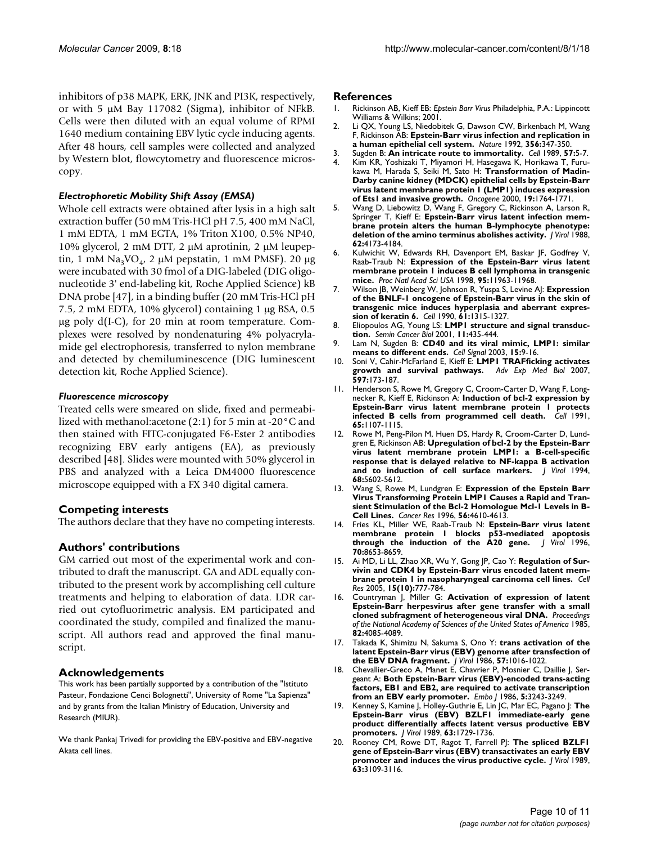inhibitors of p38 MAPK, ERK, JNK and PI3K, respectively, or with 5 μM Bay 117082 (Sigma), inhibitor of NFkB. Cells were then diluted with an equal volume of RPMI 1640 medium containing EBV lytic cycle inducing agents. After 48 hours, cell samples were collected and analyzed by Western blot, flowcytometry and fluorescence microscopy.

## *Electrophoretic Mobility Shift Assay (EMSA)*

Whole cell extracts were obtained after lysis in a high salt extraction buffer (50 mM Tris-HCl pH 7.5, 400 mM NaCl, 1 mM EDTA, 1 mM EGTA, 1% Triton X100, 0.5% NP40, 10% glycerol, 2 mM DTT, 2 μM aprotinin, 2 μM leupeptin, 1 mM Na<sub>3</sub>VO<sub>4</sub>, 2 μM pepstatin, 1 mM PMSF). 20 μg were incubated with 30 fmol of a DIG-labeled (DIG oligonucleotide 3' end-labeling kit, Roche Applied Science) kB DNA probe [47], in a binding buffer (20 mM Tris-HCl pH 7.5, 2 mM EDTA, 10% glycerol) containing 1 μg BSA, 0.5 μg poly d(I-C), for 20 min at room temperature. Complexes were resolved by nondenaturing 4% polyacrylamide gel electrophoresis, transferred to nylon membrane and detected by chemiluminescence (DIG luminescent detection kit, Roche Applied Science).

### *Fluorescence microscopy*

Treated cells were smeared on slide, fixed and permeabilized with methanol:acetone (2:1) for 5 min at -20°C and then stained with FITC-conjugated F6-Ester 2 antibodies recognizing EBV early antigens (EA), as previously described [48]. Slides were mounted with 50% glycerol in PBS and analyzed with a Leica DM4000 fluorescence microscope equipped with a FX 340 digital camera.

## **Competing interests**

The authors declare that they have no competing interests.

## **Authors' contributions**

GM carried out most of the experimental work and contributed to draft the manuscript. GA and ADL equally contributed to the present work by accomplishing cell culture treatments and helping to elaboration of data. LDR carried out cytofluorimetric analysis. EM participated and coordinated the study, compiled and finalized the manuscript. All authors read and approved the final manuscript.

### **Acknowledgements**

This work has been partially supported by a contribution of the "Istituto Pasteur, Fondazione Cenci Bolognetti", University of Rome "La Sapienza" and by grants from the Italian Ministry of Education, University and Research (MIUR).

We thank Pankaj Trivedi for providing the EBV-positive and EBV-negative Akata cell lines.

#### **References**

- 1. Rickinson AB, Kieff EB: *Epstein Barr Virus* Philadelphia, P.A.: Lippincott Williams & Wilkins; 2001.
- 2. Li QX, Young LS, Niedobitek G, Dawson CW, Birkenbach M, Wang F, Rickinson AB: **[Epstein-Barr virus infection and replication in](http://www.ncbi.nlm.nih.gov/entrez/query.fcgi?cmd=Retrieve&db=PubMed&dopt=Abstract&list_uids=1312681) [a human epithelial cell system.](http://www.ncbi.nlm.nih.gov/entrez/query.fcgi?cmd=Retrieve&db=PubMed&dopt=Abstract&list_uids=1312681)** *Nature* 1992, **356:**347-350.
- 3. Sugden B: **[An intricate route to immortality.](http://www.ncbi.nlm.nih.gov/entrez/query.fcgi?cmd=Retrieve&db=PubMed&dopt=Abstract&list_uids=2539260)** *Cell* 1989, **57:**5-7.
- 4. Kim KR, Yoshizaki T, Miyamori H, Hasegawa K, Horikawa T, Furukawa M, Harada S, Seiki M, Sato H: **[Transformation of Madin-](http://www.ncbi.nlm.nih.gov/entrez/query.fcgi?cmd=Retrieve&db=PubMed&dopt=Abstract&list_uids=10777210)Darby canine kidney (MDCK) epithelial cells by Epstein-Barr [virus latent membrane protein 1 \(LMP1\) induces expression](http://www.ncbi.nlm.nih.gov/entrez/query.fcgi?cmd=Retrieve&db=PubMed&dopt=Abstract&list_uids=10777210) [of Ets1 and invasive growth.](http://www.ncbi.nlm.nih.gov/entrez/query.fcgi?cmd=Retrieve&db=PubMed&dopt=Abstract&list_uids=10777210)** *Oncogene* 2000, **19:**1764-1771.
- 5. Wang D, Liebowitz D, Wang F, Gregory C, Rickinson A, Larson R, Springer T, Kieff E: **[Epstein-Barr virus latent infection mem](http://www.ncbi.nlm.nih.gov/entrez/query.fcgi?cmd=Retrieve&db=PubMed&dopt=Abstract&list_uids=2845129)[brane protein alters the human B-lymphocyte phenotype:](http://www.ncbi.nlm.nih.gov/entrez/query.fcgi?cmd=Retrieve&db=PubMed&dopt=Abstract&list_uids=2845129) [deletion of the amino terminus abolishes activity.](http://www.ncbi.nlm.nih.gov/entrez/query.fcgi?cmd=Retrieve&db=PubMed&dopt=Abstract&list_uids=2845129)** *J Virol* 1988, **62:**4173-4184.
- 6. Kulwichit W, Edwards RH, Davenport EM, Baskar JF, Godfrey V, Raab-Traub N: **[Expression of the Epstein-Barr virus latent](http://www.ncbi.nlm.nih.gov/entrez/query.fcgi?cmd=Retrieve&db=PubMed&dopt=Abstract&list_uids=9751773) [membrane protein 1 induces B cell lymphoma in transgenic](http://www.ncbi.nlm.nih.gov/entrez/query.fcgi?cmd=Retrieve&db=PubMed&dopt=Abstract&list_uids=9751773) [mice.](http://www.ncbi.nlm.nih.gov/entrez/query.fcgi?cmd=Retrieve&db=PubMed&dopt=Abstract&list_uids=9751773)** *Proc Natl Acad Sci USA* 1998, **95:**11963-11968.
- 7. Wilson JB, Weinberg W, Johnson R, Yuspa S, Levine AJ: **[Expression](http://www.ncbi.nlm.nih.gov/entrez/query.fcgi?cmd=Retrieve&db=PubMed&dopt=Abstract&list_uids=1694724) of the BNLF-1 oncogene of Epstein-Barr virus in the skin of [transgenic mice induces hyperplasia and aberrant expres](http://www.ncbi.nlm.nih.gov/entrez/query.fcgi?cmd=Retrieve&db=PubMed&dopt=Abstract&list_uids=1694724)[sion of keratin 6.](http://www.ncbi.nlm.nih.gov/entrez/query.fcgi?cmd=Retrieve&db=PubMed&dopt=Abstract&list_uids=1694724)** *Cell* 1990, **61:**1315-1327.
- 8. Eliopoulos AG, Young LS: **[LMP1 structure and signal transduc](http://www.ncbi.nlm.nih.gov/entrez/query.fcgi?cmd=Retrieve&db=PubMed&dopt=Abstract&list_uids=11669605)[tion.](http://www.ncbi.nlm.nih.gov/entrez/query.fcgi?cmd=Retrieve&db=PubMed&dopt=Abstract&list_uids=11669605)** *Semin Cancer Biol* 2001, **11:**435-444.
- 9. Lam N, Sugden B: **[CD40 and its viral mimic, LMP1: similar](http://www.ncbi.nlm.nih.gov/entrez/query.fcgi?cmd=Retrieve&db=PubMed&dopt=Abstract&list_uids=12401515) [means to different ends.](http://www.ncbi.nlm.nih.gov/entrez/query.fcgi?cmd=Retrieve&db=PubMed&dopt=Abstract&list_uids=12401515)** *Cell Signal* 2003, **15:**9-16.
- 10. Soni V, Cahir-McFarland E, Kieff E: **[LMP1 TRAFficking activates](http://www.ncbi.nlm.nih.gov/entrez/query.fcgi?cmd=Retrieve&db=PubMed&dopt=Abstract&list_uids=17633026) [growth and survival pathways.](http://www.ncbi.nlm.nih.gov/entrez/query.fcgi?cmd=Retrieve&db=PubMed&dopt=Abstract&list_uids=17633026)** *Adv Exp Med Biol* 2007, **597:**173-187.
- 11. Henderson S, Rowe M, Gregory C, Croom-Carter D, Wang F, Longnecker R, Kieff E, Rickinson A: **[Induction of bcl-2 expression by](http://www.ncbi.nlm.nih.gov/entrez/query.fcgi?cmd=Retrieve&db=PubMed&dopt=Abstract&list_uids=1648447) [Epstein-Barr virus latent membrane protein 1 protects](http://www.ncbi.nlm.nih.gov/entrez/query.fcgi?cmd=Retrieve&db=PubMed&dopt=Abstract&list_uids=1648447) [infected B cells from programmed cell death.](http://www.ncbi.nlm.nih.gov/entrez/query.fcgi?cmd=Retrieve&db=PubMed&dopt=Abstract&list_uids=1648447)** *Cell* 1991, **65:**1107-1115.
- 12. Rowe M, Peng-Pilon M, Huen DS, Hardy R, Croom-Carter D, Lundgren E, Rickinson AB: **[Upregulation of bcl-2 by the Epstein-Barr](http://www.ncbi.nlm.nih.gov/entrez/query.fcgi?cmd=Retrieve&db=PubMed&dopt=Abstract&list_uids=7520093) virus latent membrane protein LMP1: a B-cell-specific [response that is delayed relative to NF-kappa B activation](http://www.ncbi.nlm.nih.gov/entrez/query.fcgi?cmd=Retrieve&db=PubMed&dopt=Abstract&list_uids=7520093) [and to induction of cell surface markers.](http://www.ncbi.nlm.nih.gov/entrez/query.fcgi?cmd=Retrieve&db=PubMed&dopt=Abstract&list_uids=7520093)** *J Virol* 1994, **68:**5602-5612.
- 13. Wang S, Rowe M, Lundgren E: **[Expression of the Epstein Barr](http://www.ncbi.nlm.nih.gov/entrez/query.fcgi?cmd=Retrieve&db=PubMed&dopt=Abstract&list_uids=8840972) Virus Transforming Protein LMP1 Causes a Rapid and Tran[sient Stimulation of the Bcl-2 Homologue Mcl-1 Levels in B-](http://www.ncbi.nlm.nih.gov/entrez/query.fcgi?cmd=Retrieve&db=PubMed&dopt=Abstract&list_uids=8840972)[Cell Lines.](http://www.ncbi.nlm.nih.gov/entrez/query.fcgi?cmd=Retrieve&db=PubMed&dopt=Abstract&list_uids=8840972)** *Cancer Res* 1996, **56:**4610-4613.
- 14. Fries KL, Miller WE, Raab-Traub N: **[Epstein-Barr virus latent](http://www.ncbi.nlm.nih.gov/entrez/query.fcgi?cmd=Retrieve&db=PubMed&dopt=Abstract&list_uids=8970991) [membrane protein 1 blocks p53-mediated apoptosis](http://www.ncbi.nlm.nih.gov/entrez/query.fcgi?cmd=Retrieve&db=PubMed&dopt=Abstract&list_uids=8970991) [through the induction of the A20 gene.](http://www.ncbi.nlm.nih.gov/entrez/query.fcgi?cmd=Retrieve&db=PubMed&dopt=Abstract&list_uids=8970991)** *J Virol* 1996, **70:**8653-8659.
- 15. Ai MD, Li LL, Zhao XR, Wu Y, Gong JP, Cao Y: **[Regulation of Sur](http://www.ncbi.nlm.nih.gov/entrez/query.fcgi?cmd=Retrieve&db=PubMed&dopt=Abstract&list_uids=16246267 )[vivin and CDK4 by Epstein-Barr virus encoded latent mem](http://www.ncbi.nlm.nih.gov/entrez/query.fcgi?cmd=Retrieve&db=PubMed&dopt=Abstract&list_uids=16246267 )[brane protein 1 in nasopharyngeal carcinoma cell lines.](http://www.ncbi.nlm.nih.gov/entrez/query.fcgi?cmd=Retrieve&db=PubMed&dopt=Abstract&list_uids=16246267 )** *Cell Res* 2005, **15(10):**777-784.
- 16. Countryman J, Miller G: **[Activation of expression of latent](http://www.ncbi.nlm.nih.gov/entrez/query.fcgi?cmd=Retrieve&db=PubMed&dopt=Abstract&list_uids=2987963) [Epstein-Barr herpesvirus after gene transfer with a small](http://www.ncbi.nlm.nih.gov/entrez/query.fcgi?cmd=Retrieve&db=PubMed&dopt=Abstract&list_uids=2987963) [cloned subfragment of heterogeneous viral DNA.](http://www.ncbi.nlm.nih.gov/entrez/query.fcgi?cmd=Retrieve&db=PubMed&dopt=Abstract&list_uids=2987963)** *Proceedings of the National Academy of Sciences of the United States of America* 1985, **82:**4085-4089.
- 17. Takada K, Shimizu N, Sakuma S, Ono Y: **[trans activation of the](http://www.ncbi.nlm.nih.gov/entrez/query.fcgi?cmd=Retrieve&db=PubMed&dopt=Abstract&list_uids=3005608) [latent Epstein-Barr virus \(EBV\) genome after transfection of](http://www.ncbi.nlm.nih.gov/entrez/query.fcgi?cmd=Retrieve&db=PubMed&dopt=Abstract&list_uids=3005608) [the EBV DNA fragment.](http://www.ncbi.nlm.nih.gov/entrez/query.fcgi?cmd=Retrieve&db=PubMed&dopt=Abstract&list_uids=3005608)** *J Virol* 1986, **57:**1016-1022.
- 18. Chevallier-Greco A, Manet E, Chavrier P, Mosnier C, Daillie J, Sergeant A: **[Both Epstein-Barr virus \(EBV\)-encoded trans-acting](http://www.ncbi.nlm.nih.gov/entrez/query.fcgi?cmd=Retrieve&db=PubMed&dopt=Abstract&list_uids=3028777) [factors, EB1 and EB2, are required to activate transcription](http://www.ncbi.nlm.nih.gov/entrez/query.fcgi?cmd=Retrieve&db=PubMed&dopt=Abstract&list_uids=3028777) [from an EBV early promoter.](http://www.ncbi.nlm.nih.gov/entrez/query.fcgi?cmd=Retrieve&db=PubMed&dopt=Abstract&list_uids=3028777)** *Embo J* 1986, **5:**3243-3249.
- 19. Kenney S, Kamine J, Holley-Guthrie E, Lin JC, Mar EC, Pagano J: **[The](http://www.ncbi.nlm.nih.gov/entrez/query.fcgi?cmd=Retrieve&db=PubMed&dopt=Abstract&list_uids=2538653) Epstein-Barr virus (EBV) BZLF1 immediate-early gene [product differentially affects latent versus productive EBV](http://www.ncbi.nlm.nih.gov/entrez/query.fcgi?cmd=Retrieve&db=PubMed&dopt=Abstract&list_uids=2538653) [promoters.](http://www.ncbi.nlm.nih.gov/entrez/query.fcgi?cmd=Retrieve&db=PubMed&dopt=Abstract&list_uids=2538653)** *J Virol* 1989, **63:**1729-1736.
- 20. Rooney CM, Rowe DT, Ragot T, Farrell PJ: **[The spliced BZLF1](http://www.ncbi.nlm.nih.gov/entrez/query.fcgi?cmd=Retrieve&db=PubMed&dopt=Abstract&list_uids=2542618) [gene of Epstein-Barr virus \(EBV\) transactivates an early EBV](http://www.ncbi.nlm.nih.gov/entrez/query.fcgi?cmd=Retrieve&db=PubMed&dopt=Abstract&list_uids=2542618) [promoter and induces the virus productive cycle.](http://www.ncbi.nlm.nih.gov/entrez/query.fcgi?cmd=Retrieve&db=PubMed&dopt=Abstract&list_uids=2542618)** *J Virol* 1989, **63:**3109-3116.